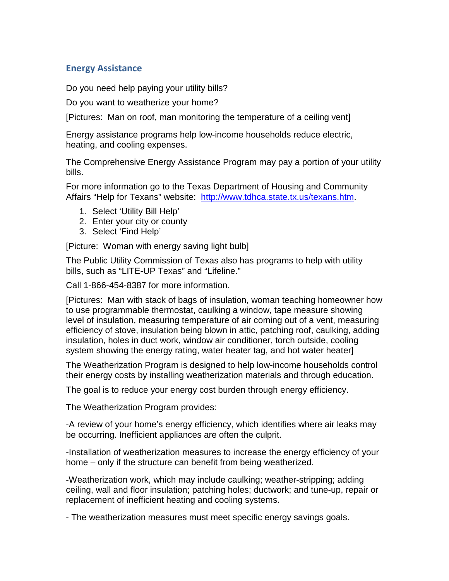## **Energy Assistance**

Do you need help paying your utility bills?

Do you want to weatherize your home?

[Pictures: Man on roof, man monitoring the temperature of a ceiling vent]

Energy assistance programs help low-income households reduce electric, heating, and cooling expenses.

The Comprehensive Energy Assistance Program may pay a portion of your utility bills.

For more information go to the Texas Department of Housing and Community Affairs "Help for Texans" website: [http://www.tdhca.state.tx.us/texans.htm.](http://www.tdhca.state.tx.us/texans.htm)

- 1. Select 'Utility Bill Help'
- 2. Enter your city or county
- 3. Select 'Find Help'

[Picture: Woman with energy saving light bulb]

The Public Utility Commission of Texas also has programs to help with utility bills, such as "LITE-UP Texas" and "Lifeline."

Call 1-866-454-8387 for more information.

[Pictures: Man with stack of bags of insulation, woman teaching homeowner how to use programmable thermostat, caulking a window, tape measure showing level of insulation, measuring temperature of air coming out of a vent, measuring efficiency of stove, insulation being blown in attic, patching roof, caulking, adding insulation, holes in duct work, window air conditioner, torch outside, cooling system showing the energy rating, water heater tag, and hot water heater]

The Weatherization Program is designed to help low-income households control their energy costs by installing weatherization materials and through education.

The goal is to reduce your energy cost burden through energy efficiency.

The Weatherization Program provides:

-A review of your home's energy efficiency, which identifies where air leaks may be occurring. Inefficient appliances are often the culprit.

-Installation of weatherization measures to increase the energy efficiency of your home – only if the structure can benefit from being weatherized.

-Weatherization work, which may include caulking; weather-stripping; adding ceiling, wall and floor insulation; patching holes; ductwork; and tune-up, repair or replacement of inefficient heating and cooling systems.

- The weatherization measures must meet specific energy savings goals.